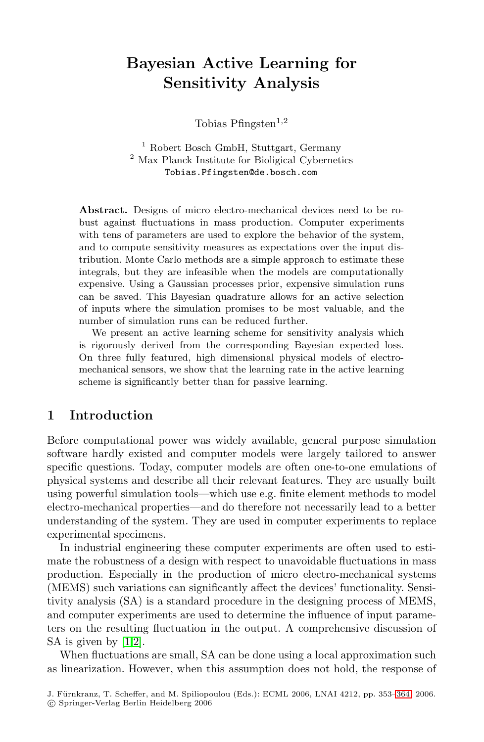# **Bayesian Active Learning for Sensitivity Analysis**

Tobias  $Pfingsten<sup>1,2</sup>$ 

<sup>1</sup> Robert Bosch GmbH, Stuttgart, Germany <sup>2</sup> Max Planck Institute for Bioligical Cybernetics Tobias.Pfingsten@de.bosch.com

**Abstract.** Designs of micro electro-mechanical devices need to be robust against fluctuations in mass production. Computer experiments with tens of parameters are used to explore the behavior of the system, and to compute sensitivity measures as expectations over the input distribution. Monte Carlo methods are a simple approach to estimate these integrals, but they are infeasible when the models are computationally expensive. Using a Gaussian processes prior, expensive simulation runs can be saved. This Bayesian quadrature allows for an active selection of inputs where the simulation promises to be most valuable, and the number of simulation runs can be reduced further.

We present an active learning scheme for sensitivity analysis which is rigorously derived from the corresponding Bayesian expected loss. On three fully featured, high dimensional physical models of electromechanical sensors, we show that the learning rate in the active learning scheme is significantly better than for passive learning.

## **1 Introduction**

Before computational power was widely available, general purpose simulation software hardly existed and computer models were largely tailored to answer specific questions. Today, computer models are often one-to-one emulations of physical systems and describe all their relevant features. They are usually built using powerful simulation tools—which use e.g. finite element methods to model electro-mechanical properties—and do therefore not necessarily lead to a better understanding of the system. They are used in computer experiments to replace [e](#page-11-0)xperimental specimens.

In industrial engineering these computer experiments are often used to estimate the robustness of a design with respect to unavoidable fluctuations in mass production. Especially in the production of micro electro-mechanical systems (MEMS) such variations can significantly affect the [devi](#page-11-1)ces' functionality. Sensitivity analysis (SA) is a standard procedure in the designing process of MEMS, and computer experiments are used to determine the influence of input parameters on the resulting fluctuation in the output. A comprehensive discussion of SA is given by [1,2].

When fluctuations are small, SA can be done using a local approximation such as linearization. However, when this assumption does not hold, the response of

J. Fürnkranz, T. Scheffer, and M. Spiliopoulou (Eds.): ECML 2006, LNAI 4212, pp. 353-364, 2006. -c Springer-Verlag Berlin Heidelberg 2006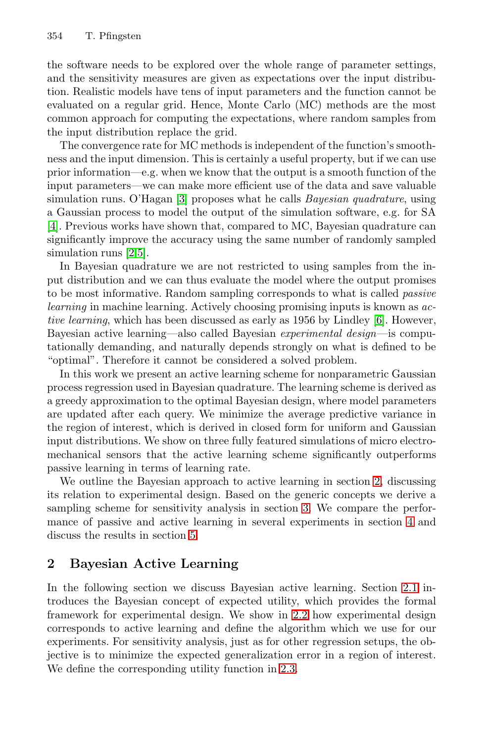the software needs to be explored over the whole range of parameter settings, and the sensitivity measures are given as expectations over the input distribution. R[eal](#page-11-2)istic models have tens of input parameters and the function cannot be evaluated on a regular grid. Hence, Monte Carlo (MC) methods are the most common approach for computing the expectations, where random samples from the input distribution replace the grid.

The convergence rate for MC methods is independent of the function's smooth[n](#page-11-3)ess and the input dimension. This is certainly a useful property, but if we can use prior information—e.g. when we know that the output is a smooth function of the input parameters—we can make more efficient use of the data and save valuable simulation runs. O'Hagan [3] proposes what he calls *Bayesian quadrature*, using a Gaussian process to model the output of the [sim](#page-11-4)ulation software, e.g. for SA [4]. Previous works have shown that, compared to MC, Bayesian quadrature can significantly improve the accuracy using the same number of randomly sampled simulation runs [2,5].

In Bayesian quadrature we are not restricted to using samples from the input distribution and we can thus evaluate the model where the output promises to be most informative. Random sampling corresponds to what is called passive learning in machine learning. Actively choosing promising inputs is known as active learning, which has been discussed as early as 1956 by Lindley [6]. However, Bayesian active learning—also called Bayesian experimental design—is computationally demanding, and naturally depends strongly on what is defined to be "optimal". Therefore it cannot be considered a solved problem.

In this work we present an active learning sch[em](#page-1-0)e for nonparametric Gaussian process regression used in Bayesian quadrature. The learning scheme is derived as a greedy approximation to the op[tim](#page-4-0)al Bayesian design, where model parameters are updated after each query. We minimize the aver[age](#page-9-0) predictive variance in the regio[n o](#page-10-0)f interest, which is derived in closed form for uniform and Gaussian input distributions. We show on three fully featured simulations of micro electromechanical sensors that the active learning scheme significantly outperforms passive learning in terms of learning rate.

<span id="page-1-0"></span>We outline the Bayesian approach to active learni[ng i](#page-2-0)n section 2, discussing its relation to experimental design. Based on the generic concepts we derive a sampling scheme for sensitivit[y an](#page-3-0)alysis in section 3. We compare the performance of passive and active learning in several experiments in section 4 and discuss the results in section 5.

## **2 Bayesian Active [Lea](#page-3-1)rning**

In the following section we discuss Bayesian active learning. Section 2.1 introduces the Bayesian concept of expected utility, which provides the formal framework for experimental design. We show in 2.2 how experimental design corresponds to active learning and define the algorithm which we use for our experiments. For sensitivity analysis, just as for other regression setups, the objective is to minimize the expected generalization error in a region of interest. We define the corresponding utility function in 2.3.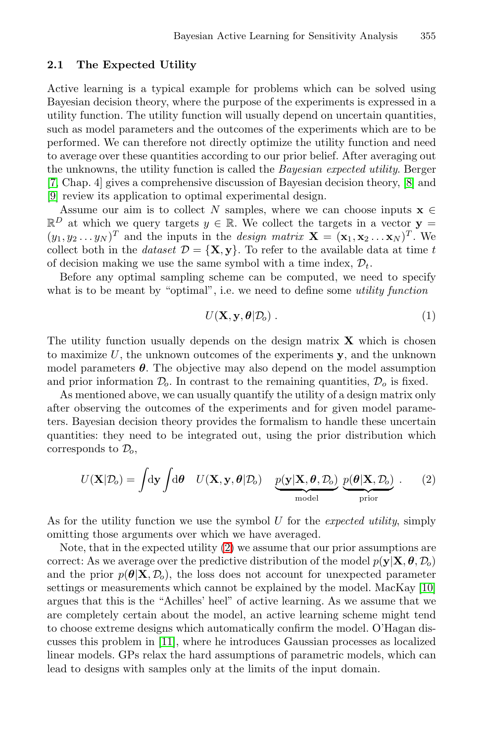#### <span id="page-2-0"></span>**2.1 The Expected Utility**

Active learning is a typical example for problems w[hi](#page-11-5)ch can be solved using Bayesian decision theory, where the purpose of the experiments is expressed in a utility function. The utility function will usually depend on uncertain quantities, such as model parameters and the outcomes of the experiments which are to be performed. We can therefore not directly optimize the utility function and need to average over these quantities according to our prior belief. After averaging out the unknowns, the utility function is called the Bayesian expected utility. Berger [7, Chap. 4] gives a comprehensive discussion of Bayesian decision theory, [8] and [9] review its application to optimal experimental design.

Assume our aim is to collect N samples, where we can choose inputs  $\mathbf{x} \in \mathbb{R}$  $\mathbb{R}^D$  at which we query targets  $y \in \mathbb{R}$ . We collect the targets in a vector **y** =  $(y_1, y_2 \ldots y_N)^T$  and the inputs in the *design matrix*  $\mathbf{X} = (\mathbf{x}_1, \mathbf{x}_2 \ldots \mathbf{x}_N)^T$ . We collect both in the *dataset*  $\mathcal{D} = \{X, y\}$ . To refer to the available data at time t of decision making we use the same symbol with a time index,  $\mathcal{D}_t$ .

Before any optimal sampling scheme can be computed, we need to specify what is to be meant by "optimal", i.e. we need to define some *utility function* 

<span id="page-2-2"></span>
$$
U(\mathbf{X}, \mathbf{y}, \boldsymbol{\theta} | \mathcal{D}_o) \ . \tag{1}
$$

The utility function usually depends on the design matrix **X** which is chosen to maximize  $U$ , the unknown outcomes of the experiments  $\mathbf{y}$ , and the unknown model parameters  $\theta$ . The objective may also depend on the model assumption and prior information  $\mathcal{D}_{o}$ . In contrast to the remaining quantities,  $\mathcal{D}_{o}$  is fixed.

<span id="page-2-1"></span>As mentioned above, we can usually quantify the utility of a design matrix only after observing the outcomes of the experiments and for given model parameters. Bayesian decision theory provides the formalism to handle these uncertain quantities: they need to be integrated out, using the prior distribution which corresponds to  $\mathcal{D}_{o}$ [,](#page-2-1)

$$
U(\mathbf{X}|\mathcal{D}_o) = \int \mathrm{d}\mathbf{y} \int \mathrm{d}\boldsymbol{\theta} \quad U(\mathbf{X}, \mathbf{y}, \boldsymbol{\theta}|\mathcal{D}_o) \quad \underbrace{p(\mathbf{y}|\mathbf{X}, \boldsymbol{\theta}, \mathcal{D}_o)}_{\text{model}} \underbrace{p(\boldsymbol{\theta}|\mathbf{X}, \mathcal{D}_o)}_{\text{prior}}.
$$
 (2)

As for the utility function we use the symbol  $U$  for the expected utility, simply omi[ttin](#page-11-7)g those arguments over which we have averaged.

Note, that in the expected utility (2) we assume that our prior assumptions are correct: As we average over the predictive distribution of the model  $p(\mathbf{y}|\mathbf{X}, \boldsymbol{\theta}, \mathcal{D}_o)$ and the prior  $p(\theta|\mathbf{X}, \mathcal{D}_0)$ , the loss does not account for unexpected parameter settings or measurements which cannot be explained by the model. MacKay [10] argues that this is the "Achilles' heel" of active learning. As we assume that we are completely certain about the model, an active learning scheme might tend to choose extreme designs which automatically confirm the model. O'Hagan discusses this problem in [11], where he introduces Gaussian processes as localized linear models. GPs relax the hard assumptions of parametric models, which can lead to designs with samples only at the limits of the input domain.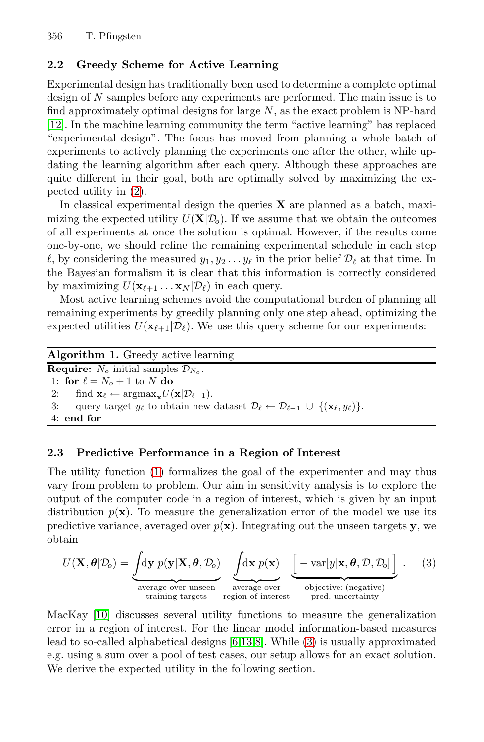### <span id="page-3-0"></span>**2.2 Greedy Scheme for Active Learning**

[E](#page-2-1)xperimental design has traditionally been used to determine a complete optimal design of N samples before any experiments are performed. The main issue is to find approximately optimal designs for large  $N$ , as the exact problem is NP-hard [12]. In the machine learning community the term "active learning" has replaced "experimental design". The focus has moved from planning a whole batch of experiments to actively planning the experiments one after the other, while updating the learning algorithm after each query. Although these approaches are quite different in their goal, both are optimally solved by maximizing the expected utility in (2).

In classical experimental design the queries **X** are planned as a batch, maximizing the expected utility  $U(\mathbf{X}|\mathcal{D}_o)$ . If we assume that we obtain the outcomes of all experiments at once the solution is optimal. However, if the results come one-by-one, we should refine the remaining experimental schedule in each step  $\ell$ , by considering the measured  $y_1, y_2 \ldots y_\ell$  in the prior belief  $\mathcal{D}_\ell$  at that time. In the Bayesian formalism it is clear that this information is correctly considered by maximizing  $U(\mathbf{x}_{\ell+1} \dots \mathbf{x}_N | \mathcal{D}_{\ell})$  in each query.

<span id="page-3-3"></span>Most active learning schemes avoid the computational burden of planning all remaining experiments by greedily planning only one step ahead, optimizing the expected utilities  $U(\mathbf{x}_{\ell+1}|\mathcal{D}_{\ell})$ . We use this query scheme for our experiments:

<span id="page-3-1"></span>

| <b>Algorithm 1.</b> Greedy active learning                                                                                            |
|---------------------------------------------------------------------------------------------------------------------------------------|
| <b>Require:</b> $N_o$ initial samples $\mathcal{D}_{N_o}$ .                                                                           |
| 1: for $\ell = N_o + 1$ to N do                                                                                                       |
| 2: find $\mathbf{x}_{\ell} \leftarrow \arg \max_{\mathbf{x}} U(\mathbf{x}   \mathcal{D}_{\ell-1}).$                                   |
| 3: query target $y_\ell$ to obtain new dataset $\mathcal{D}_\ell \leftarrow \mathcal{D}_{\ell-1} \cup \{(\mathbf{x}_\ell, y_\ell)\}.$ |
| $4:$ end for                                                                                                                          |

## <span id="page-3-2"></span>**2.3 Predictive Performance in a Region of Interest**

The utility function (1) formalizes the goal of the experimenter and may thus vary from problem to problem. Our aim in sensitivity analysis is to explore the output of the computer code in a region of interest, which is given by an input distribution  $p(x)$ . To measure the generalization error of the model we use its predictive variance, averaged over  $p(\mathbf{x})$ . Integrating out the unseen targets **y**, we obtain

$$
U(\mathbf{X}, \boldsymbol{\theta} | \mathcal{D}_o) = \underbrace{\int \mathrm{d}\mathbf{y} \ p(\mathbf{y} | \mathbf{X}, \boldsymbol{\theta}, \mathcal{D}_o)}_{\text{average over unseen}} \underbrace{\int \mathrm{d}\mathbf{x} \ p(\mathbf{x})}_{\text{average over tree}} \underbrace{\left[ -\text{var}[y | \mathbf{x}, \boldsymbol{\theta}, \mathcal{D}, \mathcal{D}_o] \right]}_{\text{objective: (negative)}}.
$$
 (3)

MacKay [10] discusses several utility functions to measure the generalization error in a region of interest. For the linear model information-based measures lead to so-called alphabetical designs [6,13,8]. While (3) is usually approximated e.g. using a sum over a pool of test cases, our setup allows for an exact solution. We derive the expected utility in the following section.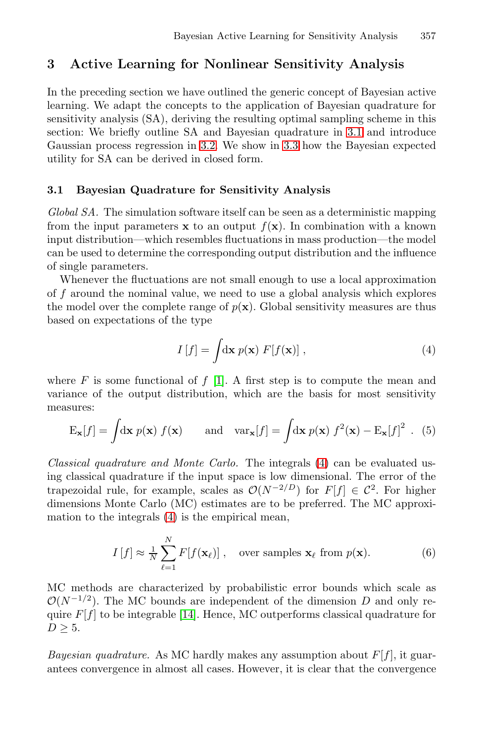## <span id="page-4-0"></span>**3 Active Learning for Nonlinear Sensitivity Analysis**

<span id="page-4-1"></span>In the preceding section we have outlined the generic concept of Bayesian active learning. We adapt the concepts to the application of Bayesian quadrature for sensitivity analysis (SA), deriving the resulting optimal sampling scheme in this section: We briefly outline SA and Bayesian quadrature in 3.1 and introduce Gaussian process regression in 3.2. We show in 3.3 how the Bayesian expected utility for SA can be derived in closed form.

#### **3.1 Bayesian Quadrature for Sensitivity Analysis**

<span id="page-4-2"></span>Global SA. The simulation software itself can be seen as a deterministic mapping from the input parameters **x** to an output  $f(\mathbf{x})$ . In combination with a known input distribution—which resembles fluctuations in mass production—the model can be used to determine the corresponding output distribution and the influence of single parameters.

<span id="page-4-3"></span>Whenever t[he](#page-11-8) fluctuations are not small enough to use a local approximation of f around the nominal value, we need to use a global analysis which explores the model over the complete range of  $p(x)$ . Global sensitivity measures are thus based on expectations of the type

$$
I[f] = \int \! \mathrm{d}\mathbf{x} \ p(\mathbf{x}) \ F[f(\mathbf{x})] \ , \tag{4}
$$

where  $F$  is some functional of  $f$  [1]. A first step is to compute the mean and variance of the output distribution, which are the basis for most sensitivity meas[ur](#page-4-2)es:

$$
\mathbf{E}_{\mathbf{x}}[f] = \int d\mathbf{x} \ p(\mathbf{x}) \ f(\mathbf{x}) \quad \text{and} \quad \text{var}_{\mathbf{x}}[f] = \int d\mathbf{x} \ p(\mathbf{x}) \ f^2(\mathbf{x}) - \mathbf{E}_{\mathbf{x}}[f]^2 \ . \tag{5}
$$

Classical quadrature and Monte Carlo. The integrals (4) can be evaluated using classical quadrature if the input space is low dimensional. The error of the trapezoidal rule, for example, scales as  $\mathcal{O}(N^{-2/D})$  for  $F[f] \in \mathcal{C}^2$ . For higher dimensions Monte Carlo (MC) estimates are to be preferred. The MC approximation [to](#page-11-9) [t](#page-11-9)he integrals (4) is the empirical mean,

$$
I[f] \approx \frac{1}{N} \sum_{\ell=1}^{N} F[f(\mathbf{x}_{\ell})], \quad \text{over samples } \mathbf{x}_{\ell} \text{ from } p(\mathbf{x}). \tag{6}
$$

MC methods are characterized by probabilistic error bounds which scale as  $\mathcal{O}(N^{-1/2})$ . The MC bounds are independent of the dimension D and only require  $F[f]$  to be integrable [14]. Hence, MC outperforms classical quadrature for  $D \geq 5$ .

*Bayesian quadrature.* As MC hardly makes any assumption about  $F[f]$ , it guarantees convergence in almost all cases. However, it is clear that the convergence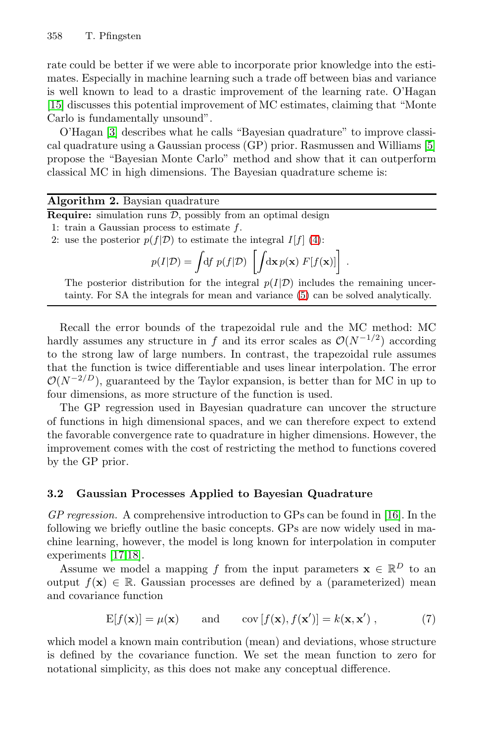rate could be better if we were able to incorporate prior knowledge into the estimates. Especially in machine learning such a trade off between bias and variance is well known to lead to a drastic improvement of the learning rate. O'Hagan [15] discusses this potential improvement of MC estimates, claiming that "Monte Carlo is fundamentally unsound".

O'Hagan [3] describes what he c[all](#page-4-2)s "Bayesian quadrature" to improve classical quadrature using a Gaussian process (GP) prior. Rasmussen and Williams [5] propose the "Bayesian Monte Carlo" method and show that it can outperform classical MC in high dimensions. The Bayesian quadrature scheme is:

| Algorithm 2. Baysian quadrature |  |  |  |
|---------------------------------|--|--|--|
|---------------------------------|--|--|--|

**Require:** simulation runs  $\mathcal{D}$ , possibly from an optimal design

- 1: train a Gaussian process to estimate f.
- 2: use the posterior  $p(f|\mathcal{D})$  to estimate the integral  $I[f]$  (4):

 $p(I|\mathcal{D}) = \int df \ p(f|\mathcal{D}) \left[ \int d\mathbf{x} \ p(\mathbf{x}) \ F[f(\mathbf{x})] \right] \ .$ 

The posterior distribution for the integral  $p(I|\mathcal{D})$  includes the remaining uncertainty. For SA the integrals for mean and variance (5) can be solved analytically.

Recall the error bounds of the trapezoidal rule and the MC method: MC hardly assumes any structure in f and its error scales as  $\mathcal{O}(N^{-1/2})$  according to the strong law of large numbers. In contrast, the trapezoidal rule assumes that the function is twice differentiable and uses linear interpolation. The error  $\mathcal{O}(N^{-2/D})$ , guaranteed by the Taylor expansion, is better than for MC in up to four dimensions, as more structure of the function is used.

The GP regression used in Bayesian quadratu[re](#page-11-10) can uncover the structure of functions in high dimensional spaces, and we can therefore expect to extend the favorable convergence rate to quadrature in higher dimensions. However, the improvement comes with the cost of restricting the method to functions covered by the GP prior.

#### **3.2 Gaussian Processes Applied to Bayesian Quadrature**

GP regression. A comprehensive introduction to GPs can be found in [16]. In the following we briefly outline the basic concepts. GPs are now widely used in machine learning, however, the model is long known for interpolation in computer experiments [17,18].

Assume we model a mapping f from the input parameters  $\mathbf{x} \in \mathbb{R}^D$  to an output  $f(\mathbf{x}) \in \mathbb{R}$ . Gaussian processes are defined by a (parameterized) mean and covariance function

$$
E[f(\mathbf{x})] = \mu(\mathbf{x}) \quad \text{and} \quad \text{cov}[f(\mathbf{x}), f(\mathbf{x}')] = k(\mathbf{x}, \mathbf{x}') , \quad (7)
$$

which model a known main contribution (mean) and deviations, whose structure is defined by the covariance function. We set the mean function to zero for notational simplicity, as this does not make any conceptual difference.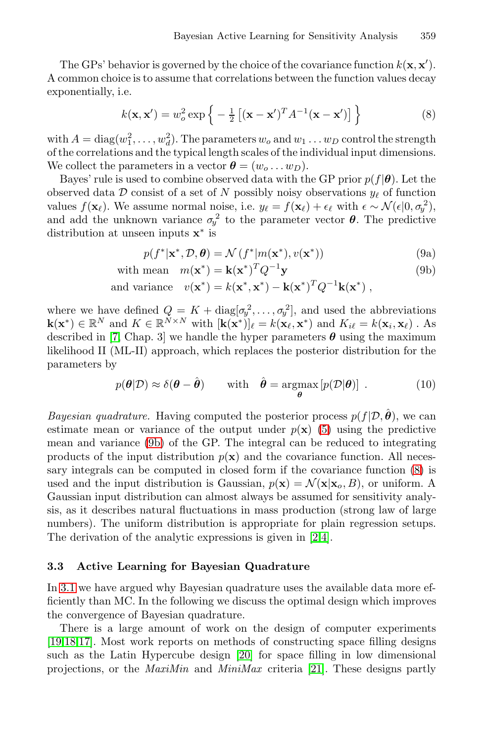The GPs' behavior is governed by the choice of the covariance function  $k(\mathbf{x}, \mathbf{x}')$ . A common choice is to assume that correlations between the function values decay exponentially, i.e.

$$
k(\mathbf{x}, \mathbf{x}') = w_o^2 \exp\left\{-\frac{1}{2}\left[(\mathbf{x} - \mathbf{x}')^T A^{-1}(\mathbf{x} - \mathbf{x}')\right]\right\}
$$
(8)

<span id="page-6-3"></span><span id="page-6-1"></span>with  $A = diag(w_1^2, \ldots, w_d^2)$ . The parameters  $w_o$  and  $w_1 \ldots w_D$  control the strength of the correlations and the typical length scales of the individual input dimensions. We collect the parameters in a vector  $\boldsymbol{\theta} = (w_o \dots w_D)$ .

Bayes' rule is used to combine observed data with the GP prior  $p(f|\theta)$ . Let the observed data  $D$  consist of a set of N possibly noisy observations  $y_{\ell}$  of function values  $f(\mathbf{x}_{\ell})$ . We assume normal noise, i.e.  $y_{\ell} = f(\mathbf{x}_{\ell}) + \epsilon_{\ell}$  with  $\epsilon \sim \mathcal{N}(\epsilon | 0, \sigma_{y}^{2}),$ and add the unknown variance  $\sigma_y^2$  to the parameter vector  $\theta$ . The predictive distribution at unseen inputs **x**<sup>∗</sup> is

$$
p(f^*|\mathbf{x}^*, \mathcal{D}, \boldsymbol{\theta}) = \mathcal{N}(f^*|m(\mathbf{x}^*), v(\mathbf{x}^*))
$$
(9a)

with mean 
$$
m(\mathbf{x}^*) = \mathbf{k}(\mathbf{x}^*)^T Q^{-1} \mathbf{y}
$$
 (9b)  
and variance  $v(\mathbf{x}^*) = k(\mathbf{x}^*, \mathbf{x}^*) - \mathbf{k}(\mathbf{x}^*)^T Q^{-1} \mathbf{k}(\mathbf{x}^*)$ ,

<span id="page-6-2"></span>where we have defined  $Q = K + \text{diag}[\sigma_y^2, \ldots, \sigma_y^2]$ , and used the abbreviations  $\mathbf{k}(\mathbf{x}^*) \in \mathbb{R}^N$  $\mathbf{k}(\mathbf{x}^*) \in \mathbb{R}^N$  $\mathbf{k}(\mathbf{x}^*) \in \mathbb{R}^N$  and  $K \in \mathbb{R}^{N \times N}$  with  $[\mathbf{k}(\mathbf{x}^*)]_\ell = k(\mathbf{x}_\ell, \mathbf{x}^*)$  and  $K_{i\ell} = k(\mathbf{x}_i, \mathbf{x}_\ell)$ . As d[escr](#page-6-1)ibed in [7, Chap. 3] we handle the hyper parameters  $\theta$  using the maximum likelihood II (ML-II) approach, which replaces the posterior distribution for the parameters by

$$
p(\boldsymbol{\theta}|\mathcal{D}) \approx \delta(\boldsymbol{\theta} - \hat{\boldsymbol{\theta}})
$$
 with  $\hat{\boldsymbol{\theta}} = \underset{\boldsymbol{\theta}}{\text{argmax}} [p(\mathcal{D}|\boldsymbol{\theta})]$ . (10)

<span id="page-6-0"></span>Bayesian quadrature. Having computed the posterior process  $p(f|\mathcal{D}, \hat{\theta})$ , we can estimate mean [o](#page-11-0)r variance of the o[ut](#page-11-11)put under  $p(\mathbf{x})$  (5) using the predictive mean and variance (9b) of the GP. The integral can be reduced to integrating products of the input distribution  $p(x)$  and the covariance function. All necessary integrals can be computed in closed form if the covariance function (8) is used and the input distribution is Gaussian,  $p(\mathbf{x}) = \mathcal{N}(\mathbf{x}|\mathbf{x}_o, B)$ , or uniform. A Gaussian input distribution can almost always be assumed for sensitivity analysis, as it describes natural fluctuations in mass production (strong law of large numbers). The uniform distribution is appropriate for plain regression setups. The derivation of the analytic expressions is given in [2,4].

## **3.3 Active Learning for Bay[esia](#page-11-12)n Quadrature**

In 3.1 we have argued why Bayesian quadrature uses the available data more efficiently than MC. In the following we discuss the optimal design which improves the convergence of Bayesian quadrature.

There is a large amount of work on the design of computer experiments [19,18,17]. Most work reports on methods of constructing space filling designs such as the Latin Hypercube design [20] for space filling in low dimensional projections, or the MaxiMin and MiniMax criteria [21]. These designs partly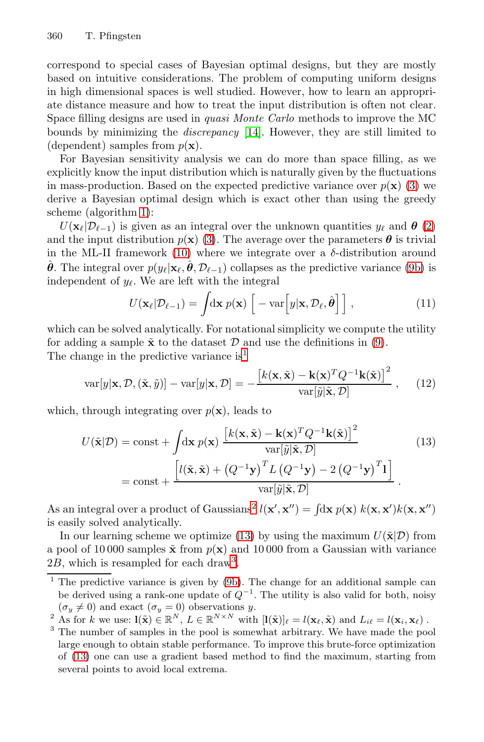correspond to special cases of Bayesian optimal designs, but they are mostly based on intuitive considerations. The problem of co[mp](#page-3-2)uting uniform designs in high dimensional spaces is well studied. However, how to learn an appropri[at](#page-3-3)e distance measure and how to treat the input distribution is often not clear. Space filling designs are used in quasi Monte Carlo metho[ds](#page-2-1) to improve the MC bounds by m[in](#page-3-2)imizing the discrepancy [14]. However, they are still limited to (depen[den](#page-6-2)t) samples from  $p(\mathbf{x})$ .

For Bayesian sensitivity analysis we can do more [tha](#page-6-1)n space filling, as we explicitly know the input distribution which is naturally given by the fluctuations in mass-production. Based on the expected predictive variance over  $p(\mathbf{x})$  (3) we derive a Bayesian optimal design which is exact other than using the greedy scheme (algorithm 1):

 $U(\mathbf{x}_{\ell}|\mathcal{D}_{\ell-1})$  is given as an integral over the unknown quantities  $y_{\ell}$  and  $\boldsymbol{\theta}$  (2) and the input distribution  $p(x)$  (3). The averag[e o](#page-6-3)ver the parameters  $\boldsymbol{\theta}$  is trivial in the ML-II frame[wo](#page-7-0)rk (10) where we integrate over a  $\delta$ -distribution around  $\hat{\theta}$ . The integral over  $p(y_\ell | \mathbf{x}_\ell, \hat{\theta}, \mathcal{D}_{\ell-1})$  collapses as the predictive variance (9b) is independent of  $y_{\ell}$ . We are left with the integral

$$
U(\mathbf{x}_{\ell}|\mathcal{D}_{\ell-1}) = \int \! \mathrm{d}\mathbf{x} \ p(\mathbf{x}) \ \left[ -\text{var}\Big[y|\mathbf{x}, \mathcal{D}_{\ell}, \hat{\boldsymbol{\theta}}\Big] \ \right], \tag{11}
$$

<span id="page-7-2"></span>which can be solved analytically. For notational simplicity we compute the utility for adding a sample  $\tilde{\mathbf{x}}$  to the dataset  $\mathcal{D}$  and use the definitions in (9). The change in the predictive variance  $is<sup>1</sup>$ 

$$
\text{var}[y|\mathbf{x}, \mathcal{D}, (\tilde{\mathbf{x}}, \tilde{y})] - \text{var}[y|\mathbf{x}, \mathcal{D}] = -\frac{\left[k(\mathbf{x}, \tilde{\mathbf{x}}) - \mathbf{k}(\mathbf{x})^T Q^{-1} \mathbf{k}(\tilde{\mathbf{x}})\right]^2}{\text{var}[\tilde{y}|\tilde{\mathbf{x}}, \mathcal{D}]}, \quad (12)
$$

which, through integr[ati](#page-7-1)ng over  $p(\mathbf{x})$ , leads to

$$
U(\tilde{\mathbf{x}}|\mathcal{D}) = \text{const} + \int \mathrm{d}\mathbf{x} \ p(\mathbf{x}) \ \frac{\left[k(\mathbf{x}, \tilde{\mathbf{x}}) - \mathbf{k}(\mathbf{x})^T Q^{-1} \mathbf{k}(\tilde{\mathbf{x}})\right]^2}{\text{var}[\tilde{y}|\tilde{\mathbf{x}}, \mathcal{D}]}
$$
\n
$$
= \text{const} + \frac{\left[l(\tilde{\mathbf{x}}, \tilde{\mathbf{x}}) + \left(Q^{-1}\mathbf{y}\right)^T L \left(Q^{-1}\mathbf{y}\right) - 2 \left(Q^{-1}\mathbf{y}\right)^T \mathbf{1}\right]}{\text{var}[\tilde{y}|\tilde{\mathbf{x}}, \mathcal{D}]}
$$
\n(13)

<span id="page-7-0"></span>As an integral over a product of Gaussians<sup>2</sup>  $l(\mathbf{x}', \mathbf{x}'') = \int d\mathbf{x} \ p(\mathbf{x}) \ k(\mathbf{x}, \mathbf{x}') k(\mathbf{x}, \mathbf{x}'')$ is easily solved analytically.

<span id="page-7-1"></span>In our learning scheme we optimize (13) by using the maximum  $U(\tilde{\mathbf{x}}|\mathcal{D})$  from a pool of 10 000 samples  $\tilde{\mathbf{x}}$  from  $p(\mathbf{x})$  and 10 000 from a Gaussian with variance 2B, which is resampled for each draw<sup>3</sup>.

<sup>2</sup> As for k we use:  $\mathbf{l}(\tilde{\mathbf{x}}) \in \mathbb{R}^N$ ,  $L \in \mathbb{R}^{N \times N}$  with  $[\mathbf{l}(\tilde{\mathbf{x}})]_\ell = l(\mathbf{x}_\ell, \tilde{\mathbf{x}})$  and  $L_{i\ell} = l(\mathbf{x}_i, \mathbf{x}_\ell)$ .

<sup>&</sup>lt;sup>1</sup> The predictive variance is given by  $(9b)$ . The change for an additional sample can be derived using a rank-one update of  $Q^{-1}$ . The utility is also valid for both, noisy  $(\sigma_y \neq 0)$  and exact  $(\sigma_y = 0)$  observations y.

<sup>&</sup>lt;sup>3</sup> The number of samples in the pool is somewhat arbitrary. We have made the pool large enough to obtain stable performance. To improve this brute-force optimization of (13) one can use a gradient based method to find the maximum, starting from several points to avoid local extrema.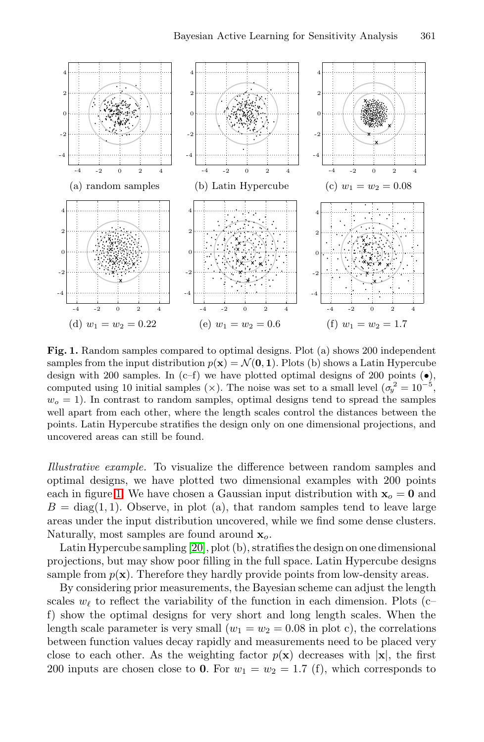

**Fig. 1.** Random samples compared to optimal designs. Plot (a) shows 200 independent samples from the input distribution  $p(x) = \mathcal{N}(0, 1)$ . Plots (b) shows a Latin Hypercube design with 200 samples. In (c–f) we have plotted optimal designs of 200 points  $(\bullet)$ , computed using 10 initial samples ( $\times$ ). The noise was set to a small level ( $\sigma_y^2 = 10^{-5}$ ,  $w<sub>o</sub> = 1$ ). In contrast to random samples, optimal designs tend to spread the samples well apart from each other, where the length scales control the distances between the points. Latin Hypercube stratifies the design only on one dimensional projections, and uncovered [area](#page-11-13)s can still be found.

Illustrative example. To visualize the difference between random samples and optimal designs, we have plotted two dimensional examples with 200 points each in figure 1. We have chosen a Gaussian input distribution with  $\mathbf{x}_o = \mathbf{0}$  and  $B = \text{diag}(1, 1)$ . Observe, in plot (a), that random samples tend to leave large areas under the input distribution uncovered, while we find some dense clusters. Naturally, most samples are found around  $\mathbf{x}_o$ .

Latin Hypercube sampling [20], plot (b), stratifies the design on one dimensional projections, but may show poor filling in the full space. Latin Hypercube designs sample from  $p(\mathbf{x})$ . Therefore they hardly provide points from low-density areas.

By considering prior measurements, the Bayesian scheme can adjust the length scales  $w_{\ell}$  to reflect the variability of the function in each dimension. Plots (cf) show the optimal designs for very short and long length scales. When the length scale parameter is very small  $(w_1 = w_2 = 0.08$  in plot c), the correlations between function values decay rapidly and measurements need to be placed very close to each other. As the weighting factor  $p(\mathbf{x})$  decreases with  $|\mathbf{x}|$ , the first 200 inputs are chosen close to **0**. For  $w_1 = w_2 = 1.7$  (f), which corresponds to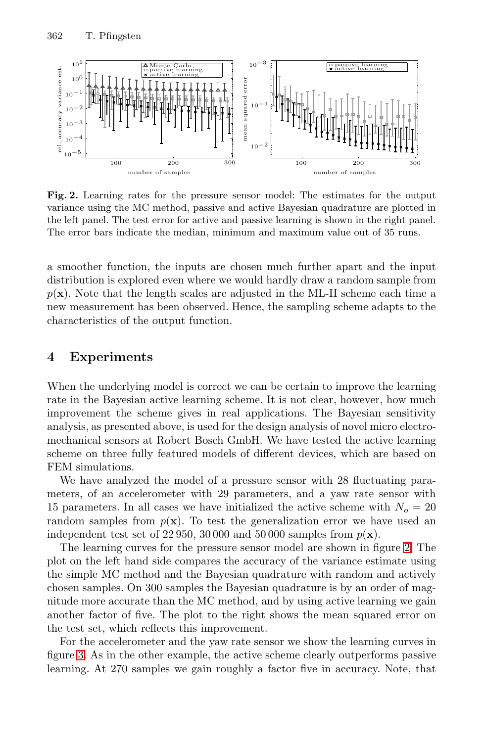

<span id="page-9-1"></span>

**Fig. 2.** Learning rates for the pressure sensor model: The estimates for the output variance using the MC method, passive and active Bayesian quadrature are plotted in the left panel. The test error for active and passive learning is shown in the right panel. The error bars indicate the median, minimum and maximum value out of 35 runs.

<span id="page-9-0"></span>a smoother function, the inputs are chosen much further apart and the input distribution is explored even where we would hardly draw a random sample from  $p(x)$ . Note that the length scales are adjusted in the ML-II scheme each time a new measurement has been observed. Hence, the sampling scheme adapts to the characteristics of the output function.

## **4 Experiments**

When the underlying model is correct we can be certain to improve the learning rate in the Bayesian active learning scheme. It is not clear, however, how much improvement the scheme gives in real applications. The Bayesian sensitivity analysis, as presented above, is used for the design analysis of novel micro electromechanical sensors at Robert Bosch GmbH. We have [te](#page-9-1)sted the active learning scheme on three fully featured models of different devices, which are based on FEM simulations.

We have analyzed the model of a pressure sensor with 28 fluctuating parameters, of an accelerometer with 29 parameters, and a yaw rate sensor with 15 parameters. In all cases we have initialized the active scheme with  $N_o = 20$ random samples from  $p(x)$ . To test the generalization error we have used an independent test set of 22 950, 30 000 and 50 000 samples from  $p(\mathbf{x})$ .

The learning curves for the pressure sensor model are shown in figure 2. The plot on the left hand side compares the accuracy of the variance estimate using the simple MC method and the Bayesian quadrature with random and actively chosen samples. On 300 samples the Bayesian quadrature is by an order of magnitude more accurate than the MC method, and by using active learning we gain another factor of five. The plot to the right shows the mean squared error on the test set, which reflects this improvement.

For the accelerometer and the yaw rate sensor we show the learning curves in figure 3. As in the other example, the active scheme clearly outperforms passive learning. At 270 samples we gain roughly a factor five in accuracy. Note, that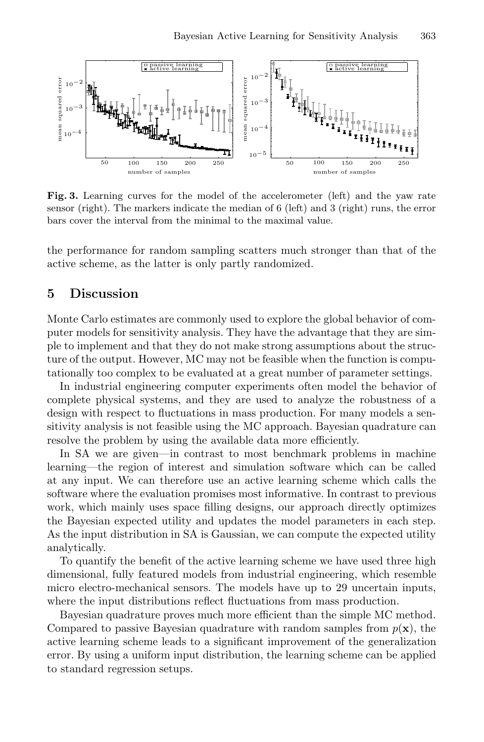

**Fig. 3.** Learning curves for the model of the accelerometer (left) and the yaw rate sensor (right). The markers indicate the median of 6 (left) and 3 (right) runs, the error bars cover the interval from the minimal to the maximal value.

the performance for random sampling scatters much stronger than that of the active scheme, as the latter is only partly randomized.

## <span id="page-10-0"></span>**5 Discussion**

Monte Carlo estimates are commonly used to explore the global behavior of computer models for sensitivity analysis. They have the advantage that they are simple to implement and that they do not make strong assumptions about the structure of the output. However, MC may not be feasible when the function is computationally too complex to be evaluated at a great number of parameter settings.

In industrial engineering computer experiments often model the behavior of complete physical systems, and they are used to analyze the robustness of a design with respect to fluctuations in mass production. For many models a sensitivity analysis is not feasible using the MC approach. Bayesian quadrature can resolve the problem by using the available data more efficiently.

In SA we are given—in contrast to most benchmark problems in machine learning—the region of interest and simulation software which can be called at any input. We can therefore use an active learning scheme which calls the software where the evaluation promises most informative. In contrast to previous work, which mainly uses space filling designs, our approach directly optimizes the Bayesian expected utility and updates the model parameters in each step. As the input distribution in SA is Gaussian, we can compute the expected utility analytically.

To quantify the benefit of the active learning scheme we have used three high dimensional, fully featured models from industrial engineering, which resemble micro electro-mechanical sensors. The models have up to 29 uncertain inputs, where the input distributions reflect fluctuations from mass production.

Bayesian quadrature proves much more efficient than the simple MC method. Compared to passive Bayesian quadrature with random samples from  $p(\mathbf{x})$ , the active learning scheme leads to a significant improvement of the generalization error. By using a uniform input distribution, the learning scheme can be applied to standard regression setups.